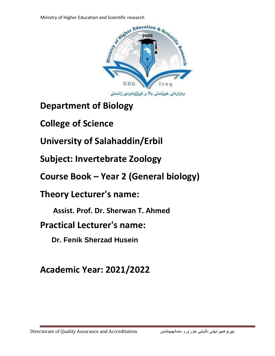

**Department of Biology** 

**College of Science** 

**University of Salahaddin/Erbil** 

**Subject: Invertebrate Zoology**

**Course Book – Year 2 (General biology)**

**Theory Lecturer's name:** 

 **Assist. Prof. Dr. Sherwan T. Ahmed** 

**Practical Lecturer's name:** 

 **Dr. Fenik Sherzad Husein** 

**Academic Year: 2021/2022**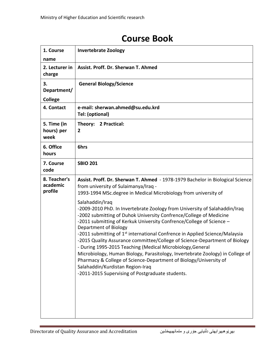| 1. Course                           | <b>Invertebrate Zoology</b>                                                                                                                                                                                                                                                                                                                                                                                                                                                                                                                                                                                                                                                                                                                                                                                                                                                                                                                             |
|-------------------------------------|---------------------------------------------------------------------------------------------------------------------------------------------------------------------------------------------------------------------------------------------------------------------------------------------------------------------------------------------------------------------------------------------------------------------------------------------------------------------------------------------------------------------------------------------------------------------------------------------------------------------------------------------------------------------------------------------------------------------------------------------------------------------------------------------------------------------------------------------------------------------------------------------------------------------------------------------------------|
| name                                |                                                                                                                                                                                                                                                                                                                                                                                                                                                                                                                                                                                                                                                                                                                                                                                                                                                                                                                                                         |
| 2. Lecturer in<br>charge            | Assist. Proff. Dr. Sherwan T. Ahmed                                                                                                                                                                                                                                                                                                                                                                                                                                                                                                                                                                                                                                                                                                                                                                                                                                                                                                                     |
| 3.<br>Department/                   | <b>General Biology/Science</b>                                                                                                                                                                                                                                                                                                                                                                                                                                                                                                                                                                                                                                                                                                                                                                                                                                                                                                                          |
| <b>College</b>                      |                                                                                                                                                                                                                                                                                                                                                                                                                                                                                                                                                                                                                                                                                                                                                                                                                                                                                                                                                         |
| 4. Contact                          | e-mail: sherwan.ahmed@su.edu.krd<br>Tel: (optional)                                                                                                                                                                                                                                                                                                                                                                                                                                                                                                                                                                                                                                                                                                                                                                                                                                                                                                     |
| 5. Time (in<br>hours) per<br>week   | Theory: 2 Practical:<br>2                                                                                                                                                                                                                                                                                                                                                                                                                                                                                                                                                                                                                                                                                                                                                                                                                                                                                                                               |
| 6. Office<br>hours                  | 6hrs                                                                                                                                                                                                                                                                                                                                                                                                                                                                                                                                                                                                                                                                                                                                                                                                                                                                                                                                                    |
| 7. Course<br>code                   | <b>SBIO 201</b>                                                                                                                                                                                                                                                                                                                                                                                                                                                                                                                                                                                                                                                                                                                                                                                                                                                                                                                                         |
| 8. Teacher's<br>academic<br>profile | Assist. Proff. Dr. Sherwan T. Ahmed - 1978-1979 Bachelor in Biological Science<br>from university of Sulaimanya/Iraq -<br>1993-1994 MSc.degree in Medical Microbiology from university of<br>Salahaddin/Iraq<br>-2009-2010 PhD. In Invertebrate Zoology from University of Salahaddin/Iraq<br>-2002 submitting of Duhok University Confrence/College of Medicine<br>-2011 submitting of Kerkuk University Confrence/College of Science -<br>Department of Biology<br>-2011 submitting of 1 <sup>st</sup> international Confrence in Applied Science/Malaysia<br>-2015 Quality Assurance committee/College of Science-Department of Biology<br>- During 1995-2015 Teaching (Medical Microbiology, General<br>Microbiology, Human Biology, Parasitology, Invertebrate Zoology) in College of<br>Pharmacy & College of Science-Department of Biology/University of<br>Salahaddin/Kurdistan Region-Iraq<br>-2011-2015 Supervising of Postgraduate students. |

# **Course Book**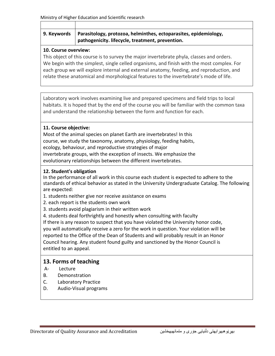| 9. Keywords   Parasitology, protozoa, helminthes, ectoparasites, epidemiology, |
|--------------------------------------------------------------------------------|
| pathogenicity. lifecycle, treatment, prevention.                               |

#### **10. Course overview:**

This object of this course is to survey the major invertebrate phyla, classes and orders. We begin with the simplest, single celled organisms, and finish with the most complex. For each group we will explore internal and external anatomy, feeding, and reproduction, and relate these anatomical and morphological features to the invertebrate's mode of life.

Laboratory work involves examining live and prepared specimens and field trips to local habitats. It is hoped that by the end of the course you will be familiar with the common taxa and understand the relationship between the form and function for each.

### **11. Course objective:**

Most of the animal species on planet Earth are invertebrates! In this course, we study the taxonomy, anatomy, physiology, feeding habits, ecology, behaviour, and reproductive strategies of major invertebrate groups, with the exception of insects. We emphasize the evolutionary relationships between the different invertebrates.

#### **12. Student's obligation**

In the performance of all work in this course each student is expected to adhere to the standards of ethical behavior as stated in the University Undergraduate Catalog. The following are expected:

- 1. students neither give nor receive assistance on exams
- 2. each report is the students own work
- 3. students avoid plagiarism in their written work
- 4. students deal forthrightly and honestly when consulting with faculty

If there is any reason to suspect that you have violated the University honor code, you will automatically receive a zero for the work in question. Your violation will be reported to the Office of the Dean of Students and will probably result in an Honor Council hearing. Any student found guilty and sanctioned by the Honor Council is entitled to an appeal.

## **13. Forms of teaching**

- A- Lecture
- B. Demonstration
- C. Laboratory Practice
- D. Audio-Visual programs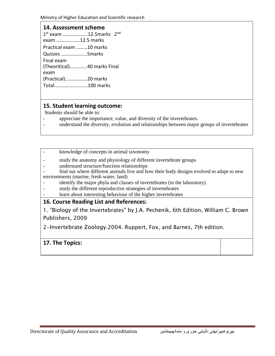## **14. Assessment scheme**

| 1 <sup>st</sup> exam 12.5marks 2 <sup>nd</sup><br>exam 12.5 marks |  |
|-------------------------------------------------------------------|--|
| Practical exam 10 marks                                           |  |
| Quizzes 5marks                                                    |  |
| Final exam                                                        |  |
| (Theoritical)40 marks Final                                       |  |
| exam                                                              |  |
| (Practical)20 marks                                               |  |
| Total100 marks                                                    |  |

# **15. Student learning outcome:**

Students should be able to:

- appreciate the importance, value, and diversity of the invertebrates.
- understand the diversity, evolution and relationships between major groups of invertebrates
- knowledge of concepts in animal taxonomy
- study the anatomy and physiology of different invertebrate groups
- understand structure/function relationships
- find out where different animals live and how their body designs evolved to adapt to new environments (marine, fresh water, land)
- identify the major phyla and classes of invertebrates (in the laboratory)
- study the different reproductive strategies of invertebrates
- learn about interesting behaviour of the higher invertebrates

# **16. Course Reading List and References:**

1. "Biology of the Invertebrates" by J.A. Pechenik, 6th Edition, William C. Brown Publishers, 2009

2-Invertebrate Zoology.2004. Ruppert, Fox, and Barnes, 7th edition.

**17. The Topics:**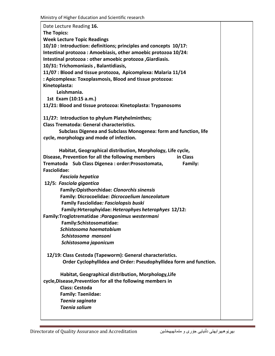| Date Lecture Reading 16.                                           |
|--------------------------------------------------------------------|
| <b>The Topics:</b>                                                 |
| <b>Week Lecture Topic Readings</b>                                 |
| 10/10 : Introduction: definitions; principles and concepts 10/17:  |
| Intestinal protozoa : Amoebiasis, other amoebic protozoa 10/24:    |
| Intestinal protozoa : other amoebic protozoa , Giardiasis.         |
| 10/31: Trichomoniasis, Balantidiasis,                              |
| 11/07 : Blood and tissue protozoa, Apicomplexa: Malaria 11/14      |
| : Apicomplexa: Toxoplasmosis, Blood and tissue protozoa:           |
| Kinetoplasta:                                                      |
| Leishmania.                                                        |
| 1st Exam (10:15 a.m.)                                              |
| 11/21: Blood and tissue protozoa: Kinetoplasta: Trypanosoms        |
|                                                                    |
| 11/27: Introduction to phylum Platyhelminthes;                     |
| Class Trematoda: General characteristics.                          |
| Subclass Digenea and Subclass Monogenea: form and function, life   |
| cycle, morphology and mode of infection.                           |
|                                                                    |
| Habitat, Geographical distribution, Morphology, Life cycle,        |
| Disease, Prevention for all the following members<br>in Class      |
| Trematoda Sub Class Digenea : order: Prosostomata,<br>Family:      |
| <b>Fasciolidae:</b>                                                |
| <b>Fasciola hepatica</b>                                           |
| 12/5: Fasciola gigantica                                           |
| Family: Opisthorchidae: Clonorchis sinensis                        |
| Family: Dicrocoelidae: Dicrocoelium lanceolatum                    |
| <b>Family Fasciolidae: Fasciolopsis buski</b>                      |
| Family: Hrterophyidae: Heterophyes heterophyes 12/12:              |
| Family:Troglotrematidae : Paragonimus westermani                   |
| Family:Schistosomatidae:                                           |
| Schistosoma haematobium                                            |
| Schistosoma mansoni                                                |
| Schistosoma japonicum                                              |
|                                                                    |
| 12/19: Class Cestoda (Tapeworm): General characteristics.          |
| Order Cyclophyllidea and Order: Pseudophyllidea form and function. |
|                                                                    |
| Habitat, Geographical distribution, Morphology, Life               |
| cycle, Disease, Prevention for all the following members in        |
| <b>Class: Cestoda</b>                                              |
| <b>Family: Taeniidae:</b>                                          |
| Taenia saginata                                                    |
| <b>Taenia solium</b>                                               |
|                                                                    |
|                                                                    |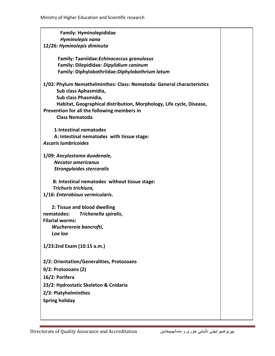| <b>Family: Hyminolepididae</b>                                         |  |
|------------------------------------------------------------------------|--|
| Hyminolepis nana                                                       |  |
| 12/26: Hyminolepis diminuta                                            |  |
| Family: Taeniidae: Echinococcus granulosus                             |  |
| Family: Dilepididae: Dipylidium caninum                                |  |
| Family: Diphylobothriidae: Diphylobothrium latum                       |  |
| 1/02: Phylum Nemathelminthes: Class: Nematoda: General characteristics |  |
| Sub class Aphasmidia,                                                  |  |
| Sub class Phasmidia,                                                   |  |
| Habitat, Geographical distribution, Morphology, Life cycle, Disease,   |  |
| Prevention for all the following members in                            |  |
| <b>Class Nematoda</b>                                                  |  |
| 1-Intestinal nematodes                                                 |  |
| A: Intestinal nematodes with tissue stage:                             |  |
| <b>Ascaris lumbricoides</b>                                            |  |
| 1/09: Ancylostoma duodenale,                                           |  |
| <b>Necator americanus</b>                                              |  |
| <b>Strongyloides stercoralis</b>                                       |  |
| B: Intestinal nematodes without tissue stage:                          |  |
| Trichuris trichiura,                                                   |  |
| 1/16: Enterobious vermicularis.                                        |  |
| 2: Tissue and blood dwelling                                           |  |
| nematodes:<br>Trichenella spiralis,                                    |  |
| <b>Filarial worms:</b>                                                 |  |
| Wucherereia bancrofti,                                                 |  |
| Loa loa                                                                |  |
| 1/23:2nd Exam (10:15 a.m.)                                             |  |
| 2/2: Orientation/Generalities, Protozoans                              |  |
| 9/2: Protozoans (2)                                                    |  |
| 16/2: Porifera                                                         |  |
| 23/2: Hydrostatic Skeleton & Cnidaria                                  |  |
| 2/3: Platyhelminthes                                                   |  |
| <b>Spring holiday</b>                                                  |  |
|                                                                        |  |
|                                                                        |  |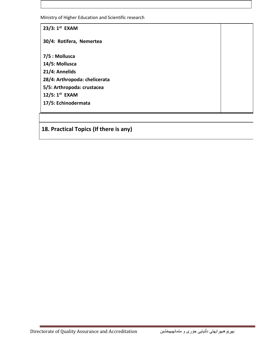Ministry of Higher Education and Scientific research

| 23/3: 1st EXAM                |  |
|-------------------------------|--|
| 30/4: Rotifera, Nemertea      |  |
| 7/5 : Mollusca                |  |
| 14/5: Mollusca                |  |
| 21/4: Annelids                |  |
| 28/4: Arthropoda: chelicerata |  |
| 5/5: Arthropoda: crustacea    |  |
| $12/5:1st$ EXAM               |  |
| 17/5: Echinodermata           |  |
|                               |  |

# **18. Practical Topics (If there is any)**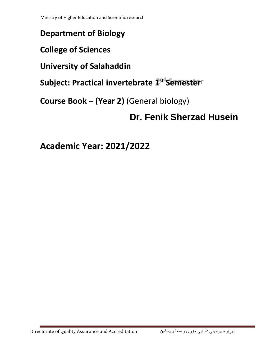Ministry of Higher Education and Scientific research

# **Department of Biology**

**College of Sciences**

**University of Salahaddin**

**Subject: Practical invertebrate 1st Semester**

**Course Book – (Year 2)** (General biology)

# **Dr. Fenik Sherzad Husein**

**Academic Year: 2021/2022**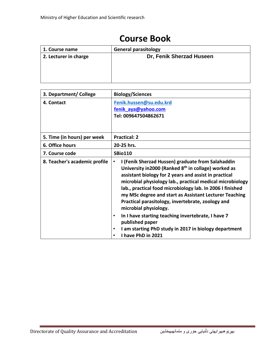# **Course Book**

| 1. Course name        | <b>General parasitology</b> |
|-----------------------|-----------------------------|
| 2. Lecturer in charge | Dr, Fenik Sherzad Huseen    |
|                       |                             |
|                       |                             |
|                       |                             |

| 3. Department/ College        | <b>Biology/Sciences</b>                                                                                                                                                                                                                                                                                                                                                                                                                          |
|-------------------------------|--------------------------------------------------------------------------------------------------------------------------------------------------------------------------------------------------------------------------------------------------------------------------------------------------------------------------------------------------------------------------------------------------------------------------------------------------|
| 4. Contact                    | Fenik.hussen@su.edu.krd<br>fenik aya@yahoo.com<br>Tel: 009647504862671                                                                                                                                                                                                                                                                                                                                                                           |
|                               |                                                                                                                                                                                                                                                                                                                                                                                                                                                  |
| 5. Time (in hours) per week   | <b>Practical: 2</b>                                                                                                                                                                                                                                                                                                                                                                                                                              |
| 6. Office hours               | 20-25 hrs.                                                                                                                                                                                                                                                                                                                                                                                                                                       |
| 7. Course code                | <b>SBio110</b>                                                                                                                                                                                                                                                                                                                                                                                                                                   |
| 8. Teacher's academic profile | I (Fenik Sherzad Hussen) graduate from Salahaddin<br>$\bullet$<br>University in2000 (Ranked 8th in collage) worked as<br>assistant biology for 2 years and assist in practical<br>microbial physiology lab., practical medical microbiology<br>lab., practical food microbiology lab. In 2006 I finished<br>my MSc degree and start as Assistant Lecturer Teaching<br>Practical parasitology, invertebrate, zoology and<br>microbial physiology. |
|                               | In I have starting teaching invertebrate, I have 7<br>$\bullet$<br>published paper<br>I am starting PhD study in 2017 in biology department<br>$\bullet$<br>I have PhD in 2021<br>$\bullet$                                                                                                                                                                                                                                                      |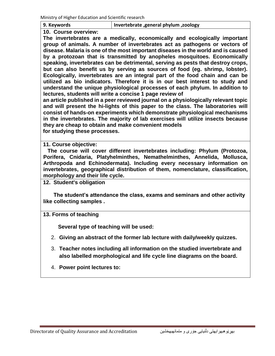| Ministry of Higher Education and Scientific research                                                                                                                                                                                                                                                                                                                                                                                                                                                                                                                                                                                                                                                                                                                                                                                                                                                                                                                                                                                                                                                                                                                                                                                                                     |                                        |  |
|--------------------------------------------------------------------------------------------------------------------------------------------------------------------------------------------------------------------------------------------------------------------------------------------------------------------------------------------------------------------------------------------------------------------------------------------------------------------------------------------------------------------------------------------------------------------------------------------------------------------------------------------------------------------------------------------------------------------------------------------------------------------------------------------------------------------------------------------------------------------------------------------------------------------------------------------------------------------------------------------------------------------------------------------------------------------------------------------------------------------------------------------------------------------------------------------------------------------------------------------------------------------------|----------------------------------------|--|
| 9. Keywords                                                                                                                                                                                                                                                                                                                                                                                                                                                                                                                                                                                                                                                                                                                                                                                                                                                                                                                                                                                                                                                                                                                                                                                                                                                              | Invertebrate , general phylum, zoology |  |
| 10. Course overview:<br>The invertebrates are a medically, economically and ecologically important<br>group of animals. A number of invertebrates act as pathogens or vectors of<br>disease. Malaria is one of the most important diseases in the world and is caused<br>by a protozoan that is transmitted by anopheles mosquitoes. Economically<br>speaking, invertebrates can be detrimental, serving as pests that destroy crops,<br>but can also benefit us by serving as sources of food (eg. shrimp, lobster).<br>Ecologically, invertebrates are an integral part of the food chain and can be<br>utilized as bio indicators. Therefore it is in our best interest to study and<br>understand the unique physiological processes of each phylum. In addition to<br>lectures, students will write a concise 1 page review of<br>an article published in a peer reviewed journal on a physiologically relevant topic<br>and will present the hi-lights of this paper to the class. The laboratories will<br>consist of hands-on experiments which demonstrate physiological mechanisms<br>in the invertebrates. The majority of lab exercises will utilize insects because<br>they are cheap to obtain and make convenient models<br>for studying these processes. |                                        |  |
| 11. Course objective:<br>The course will cover different invertebrates including: Phylum (Protozoa,<br>Porifera, Cnidaria, Platyhelminthes, Nemathelminthes, Annelida, Mollusca,<br>Arthropoda and Echinodermata). Including every necessary information on<br>invertebrates, geographical distribution of them, nomenclature, classification,                                                                                                                                                                                                                                                                                                                                                                                                                                                                                                                                                                                                                                                                                                                                                                                                                                                                                                                           |                                        |  |

**morphology and their life cycle. 12. Student's obligation**

 **The student's attendance the class, exams and seminars and other activity like collecting samples .**

## **13. Forms of teaching**

 **Several type of teaching will be used:**

- 2. **Giving an abstract of the former lab lecture with daily/weekly quizzes.**
- 3. **Teacher notes including all information on the studied invertebrate and also labelled morphological and life cycle line diagrams on the board.**
- 4. **Power point lectures to:**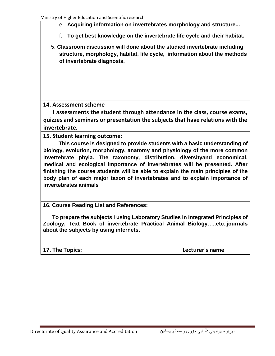- e. **Acquiring information on invertebrates morphology and structure...**
- f. **To get best knowledge on the invertebrate life cycle and their habitat.**
- 5. **Classroom discussion will done about the studied invertebrate including structure, morphology, habitat, life cycle, information about the methods of invertebrate diagnosis,**

## **14. Assessment scheme**

 **I assessments the student through attendance in the class, course exams, quizzes and seminars or presentation the subjects that have relations with the invertebrate.**

**15. Student learning outcome:**

 **This course is designed to provide students with a basic understanding of biology, evolution, morphology, anatomy and physiology of the more common invertebrate phyla. The taxonomy, distribution, diversityand economical, medical and ecological importance of invertebrates will be presented. After finishing the course students will be able to explain the main principles of the body plan of each major taxon of invertebrates and to explain importance of invertebrates animals**

**16. Course Reading List and References:**

 **To prepare the subjects I using Laboratory Studies in Integrated Principles of Zoology, Text Book of invertebrate Practical Animal Biology…..etc.,journals about the subjects by using internets.** 

| 17. The Topics: | Lecturer's name |
|-----------------|-----------------|
|-----------------|-----------------|